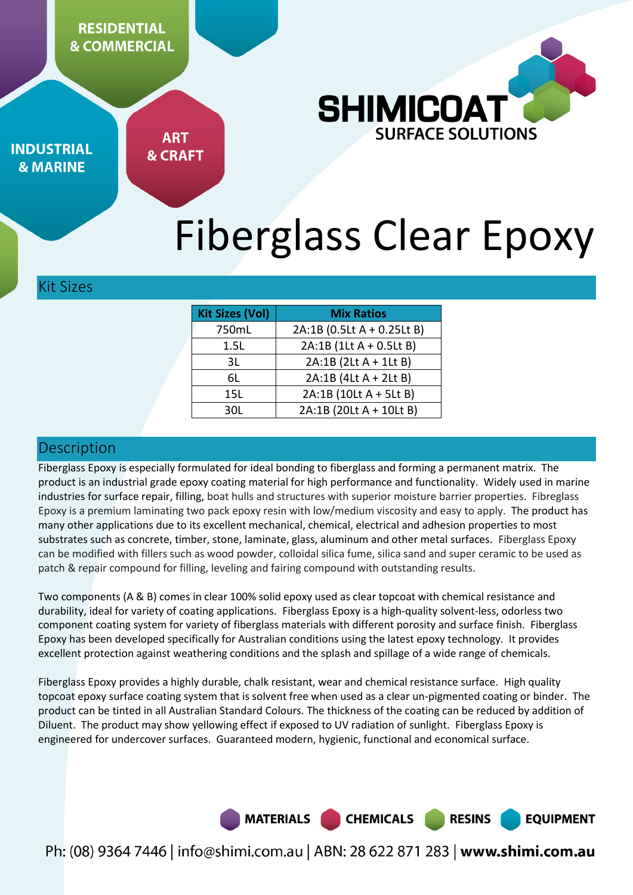**RESIDENTIAL & COMMERCIAL** 



**INDUSTRIAL & MARINE** 

**ART & CRAFT** 

# Fiberglass Clear Epoxy

Kit Sizes

| <b>Kit Sizes (Vol)</b><br><b>Mix Ratios</b> |                            |
|---------------------------------------------|----------------------------|
| 750mL                                       | 2A:1B (0.5Lt A + 0.25Lt B) |
| 1.5L                                        | 2A:1B (1Lt A + 0.5Lt B)    |
| 3L                                          | 2A:1B (2Lt A + 1Lt B)      |
| 6L                                          | 2A:1B (4Lt A + 2Lt B)      |
| 15L                                         | 2A:1B (10Lt A + 5Lt B)     |
| 30L                                         | 2A:1B (20Lt A + 10Lt B)    |
|                                             |                            |

## **Description**

Fiberglass Epoxy is especially formulated for ideal bonding to fiberglass and forming a permanent matrix. The product is an industrial grade epoxy coating material for high performance and functionality. Widely used in marine industries for surface repair, filling, boat hulls and structures with superior moisture barrier properties. Fibreglass Epoxy is a premium laminating two pack epoxy resin with low/medium viscosity and easy to apply. The product has many other applications due to its excellent mechanical, chemical, electrical and adhesion properties to most substrates such as concrete, timber, stone, laminate, glass, aluminum and other metal surfaces. Fiberglass Epoxy can be modified with fillers such as wood powder, colloidal silica fume, silica sand and super ceramic to be used as patch & repair compound for filling, leveling and fairing compound with outstanding results.

Two components (A & B) comes in clear 100% solid epoxy used as clear topcoat with chemical resistance and durability, ideal for variety of coating applications. Fiberglass Epoxy is a high-quality solvent-less, odorless two component coating system for variety of fiberglass materials with different porosity and surface finish. Fiberglass Epoxy has been developed specifically for Australian conditions using the latest epoxy technology. It provides excellent protection against weathering conditions and the splash and spillage of a wide range of chemicals.

Fiberglass Epoxy provides a highly durable, chalk resistant, wear and chemical resistance surface. High quality topcoat epoxy surface coating system that is solvent free when used as a clear un-pigmented coating or binder. The product can be tinted in all Australian Standard Colours. The thickness of the coating can be reduced by addition of Diluent. The product may show yellowing effect if exposed to UV radiation of sunlight. Fiberglass Epoxy is engineered for undercover surfaces. Guaranteed modern, hygienic, functional and economical surface.

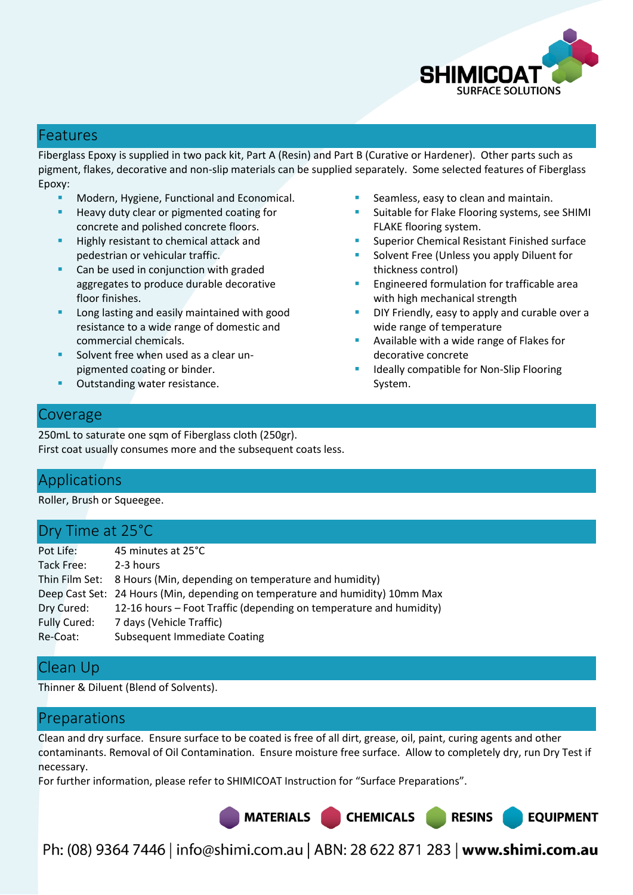

## Features

Fiberglass Epoxy is supplied in two pack kit, Part A (Resin) and Part B (Curative or Hardener). Other parts such as pigment, flakes, decorative and non-slip materials can be supplied separately. Some selected features of Fiberglass Epoxy:

- Modern, Hygiene, Functional and Economical.
- Heavy duty clear or pigmented coating for concrete and polished concrete floors.
- Highly resistant to chemical attack and pedestrian or vehicular traffic.
- **Can be used in conjunction with graded** aggregates to produce durable decorative floor finishes.
- Long lasting and easily maintained with good resistance to a wide range of domestic and commercial chemicals.
- Solvent free when used as a clear unpigmented coating or binder.
- Outstanding water resistance.
- Seamless, easy to clean and maintain.
- Suitable for Flake Flooring systems, see SHIMI FLAKE flooring system.
- Superior Chemical Resistant Finished surface
- Solvent Free (Unless you apply Diluent for thickness control)
- Engineered formulation for trafficable area with high mechanical strength
- DIY Friendly, easy to apply and curable over a wide range of temperature
- Available with a wide range of Flakes for decorative concrete
- Ideally compatible for Non-Slip Flooring System.

## Coverage

250mL to saturate one sqm of Fiberglass cloth (250gr). First coat usually consumes more and the subsequent coats less.

# Applications

Roller, Brush or Squeegee.

# Dry Time at 25°C

| Pot Life:           | 45 minutes at 25°C                                                            |
|---------------------|-------------------------------------------------------------------------------|
| Tack Free:          | 2-3 hours                                                                     |
|                     | Thin Film Set: 8 Hours (Min, depending on temperature and humidity)           |
|                     | Deep Cast Set: 24 Hours (Min, depending on temperature and humidity) 10mm Max |
| Dry Cured:          | 12-16 hours – Foot Traffic (depending on temperature and humidity)            |
| <b>Fully Cured:</b> | 7 days (Vehicle Traffic)                                                      |
| Re-Coat:            | <b>Subsequent Immediate Coating</b>                                           |

## Clean Up

Thinner & Diluent (Blend of Solvents).

# Preparations

Clean and dry surface. Ensure surface to be coated is free of all dirt, grease, oil, paint, curing agents and other contaminants. Removal of Oil Contamination. Ensure moisture free surface. Allow to completely dry, run Dry Test if necessary.

For further information, please refer to SHIMICOAT Instruction for "Surface Preparations".

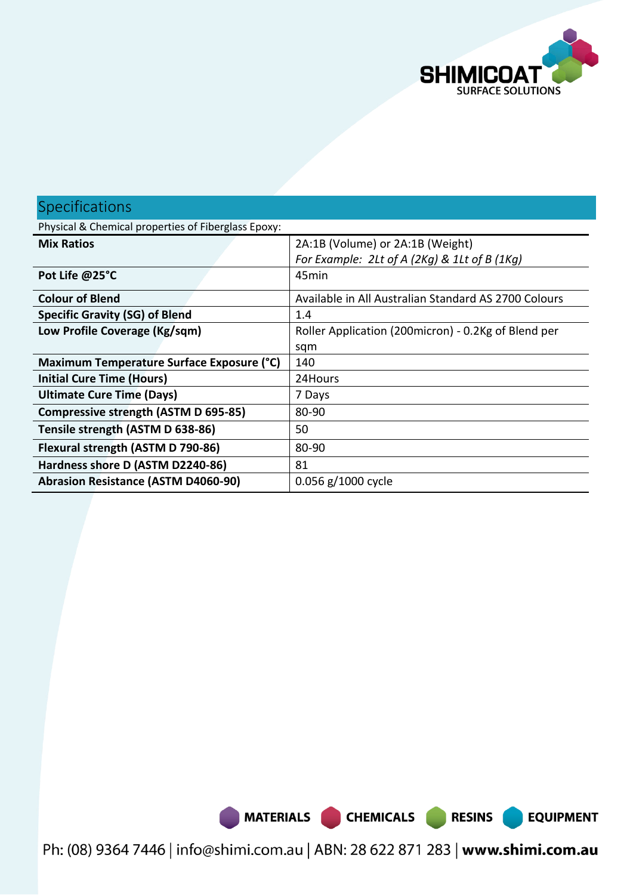

**EQUIPMENT** 

| <b>Specifications</b>                               |                                                      |  |  |
|-----------------------------------------------------|------------------------------------------------------|--|--|
| Physical & Chemical properties of Fiberglass Epoxy: |                                                      |  |  |
| <b>Mix Ratios</b>                                   | 2A:1B (Volume) or 2A:1B (Weight)                     |  |  |
|                                                     | For Example: 2Lt of A (2Kg) & 1Lt of B (1Kg)         |  |  |
| Pot Life @25°C                                      | 45min                                                |  |  |
| <b>Colour of Blend</b>                              | Available in All Australian Standard AS 2700 Colours |  |  |
| <b>Specific Gravity (SG) of Blend</b>               | 1.4                                                  |  |  |
| Low Profile Coverage (Kg/sqm)                       | Roller Application (200 micron) - 0.2Kg of Blend per |  |  |
|                                                     | sqm                                                  |  |  |
| Maximum Temperature Surface Exposure (°C)           | 140                                                  |  |  |
| <b>Initial Cure Time (Hours)</b>                    | 24Hours                                              |  |  |
| <b>Ultimate Cure Time (Days)</b>                    | 7 Days                                               |  |  |
| Compressive strength (ASTM D 695-85)                | 80-90                                                |  |  |
| Tensile strength (ASTM D 638-86)                    | 50                                                   |  |  |
| Flexural strength (ASTM D 790-86)                   | 80-90                                                |  |  |
| Hardness shore D (ASTM D2240-86)                    | 81                                                   |  |  |
| <b>Abrasion Resistance (ASTM D4060-90)</b>          | $0.056$ g/1000 cycle                                 |  |  |

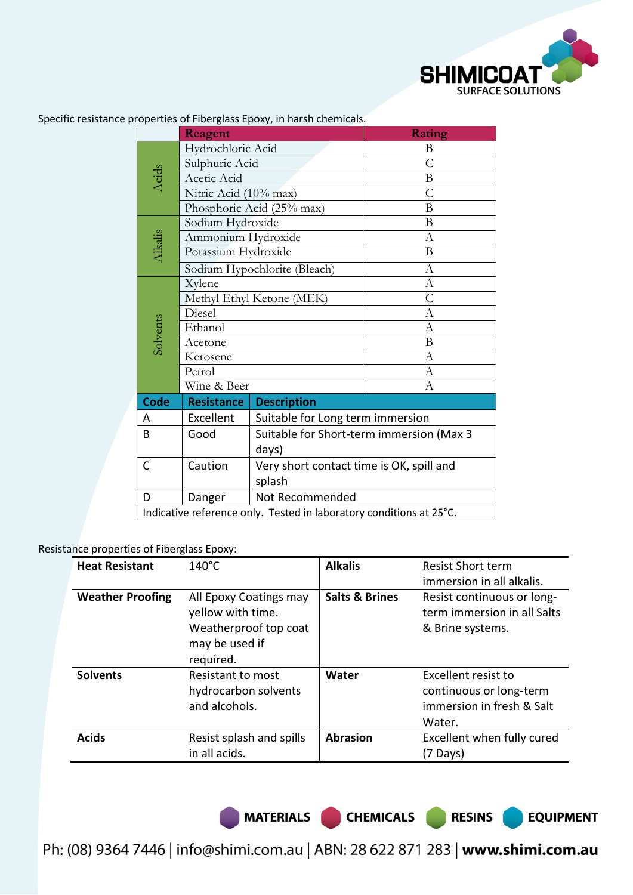

|             | Reagent                           |                                                                     | Rating           |  |
|-------------|-----------------------------------|---------------------------------------------------------------------|------------------|--|
| Acids       | Hydrochloric Acid                 |                                                                     | B                |  |
|             | Sulphuric Acid                    |                                                                     | $\overline{C}$   |  |
|             | Acetic Acid                       |                                                                     | B                |  |
|             | Nitric Acid (10% max)             |                                                                     | $\overline{C}$   |  |
|             |                                   | Phosphoric Acid (25% max)                                           | B                |  |
|             | Sodium Hydroxide                  |                                                                     | B                |  |
|             | Ammonium Hydroxide                |                                                                     | $\mathbf{A}$     |  |
| Alkalis     | Potassium Hydroxide               |                                                                     | B                |  |
|             | Sodium Hypochlorite (Bleach)      |                                                                     | $\mathbf{A}$     |  |
|             | Xylene                            |                                                                     | $\boldsymbol{A}$ |  |
|             | Methyl Ethyl Ketone (MEK)         |                                                                     | $\overline{C}$   |  |
|             | Diesel                            |                                                                     | A                |  |
| Solvents    | Ethanol                           |                                                                     | A                |  |
|             | Acetone                           |                                                                     | B                |  |
|             | Kerosene<br>Petrol<br>Wine & Beer |                                                                     | $\boldsymbol{A}$ |  |
|             |                                   |                                                                     | A                |  |
|             |                                   |                                                                     | А                |  |
| <b>Code</b> | <b>Resistance</b>                 | <b>Description</b>                                                  |                  |  |
| A           | Excellent                         | Suitable for Long term immersion                                    |                  |  |
| B           | Good                              | Suitable for Short-term immersion (Max 3                            |                  |  |
|             |                                   | days)                                                               |                  |  |
| C           | Caution                           | Very short contact time is OK, spill and                            |                  |  |
|             |                                   | splash                                                              |                  |  |
| D           | Danger                            | Not Recommended                                                     |                  |  |
|             |                                   | Indicative reference only. Tested in laboratory conditions at 25°C. |                  |  |

Specific resistance properties of Fiberglass Epoxy, in harsh chemicals.

#### Resistance properties of Fiberglass Epoxy:

| <b>Heat Resistant</b>   | $140^{\circ}$ C                                                                                     | <b>Alkalis</b>            | <b>Resist Short term</b><br>immersion in all alkalis.                                 |
|-------------------------|-----------------------------------------------------------------------------------------------------|---------------------------|---------------------------------------------------------------------------------------|
| <b>Weather Proofing</b> | All Epoxy Coatings may<br>yellow with time.<br>Weatherproof top coat<br>may be used if<br>required. | <b>Salts &amp; Brines</b> | Resist continuous or long-<br>term immersion in all Salts<br>& Brine systems.         |
| <b>Solvents</b>         | Resistant to most<br>hydrocarbon solvents<br>and alcohols.                                          | Water                     | Excellent resist to<br>continuous or long-term<br>immersion in fresh & Salt<br>Water. |
| <b>Acids</b>            | Resist splash and spills<br>in all acids.                                                           | <b>Abrasion</b>           | Excellent when fully cured<br>(7 Days)                                                |

MATERIALS CHEMICALS RESINS

**EQUIPMENT**